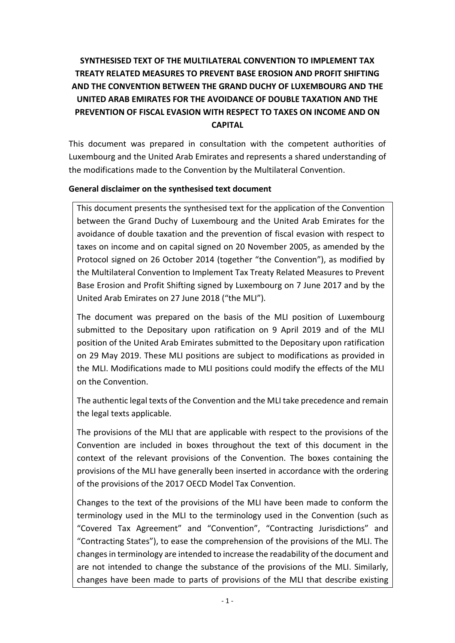# **SYNTHESISED TEXT OF THE MULTILATERAL CONVENTION TO IMPLEMENT TAX TREATY RELATED MEASURES TO PREVENT BASE EROSION AND PROFIT SHIFTING AND THE CONVENTION BETWEEN THE GRAND DUCHY OF LUXEMBOURG AND THE UNITED ARAB EMIRATES FOR THE AVOIDANCE OF DOUBLE TAXATION AND THE PREVENTION OF FISCAL EVASION WITH RESPECT TO TAXES ON INCOME AND ON CAPITAL**

This document was prepared in consultation with the competent authorities of Luxembourg and the United Arab Emirates and represents a shared understanding of the modifications made to the Convention by the Multilateral Convention.

#### **General disclaimer on the synthesised text document**

This document presents the synthesised text for the application of the Convention between the Grand Duchy of Luxembourg and the United Arab Emirates for the avoidance of double taxation and the prevention of fiscal evasion with respect to taxes on income and on capital signed on 20 November 2005, as amended by the Protocol signed on 26 October 2014 (together "the Convention"), as modified by the Multilateral Convention to Implement Tax Treaty Related Measures to Prevent Base Erosion and Profit Shifting signed by Luxembourg on 7 June 2017 and by the United Arab Emirates on 27 June 2018 ("the MLI").

The document was prepared on the basis of the MLI position of Luxembourg submitted to the Depositary upon ratification on 9 April 2019 and of the MLI position of the United Arab Emirates submitted to the Depositary upon ratification on 29 May 2019. These MLI positions are subject to modifications as provided in the MLI. Modifications made to MLI positions could modify the effects of the MLI on the Convention.

The authentic legal texts of the Convention and the MLI take precedence and remain the legal texts applicable.

The provisions of the MLI that are applicable with respect to the provisions of the Convention are included in boxes throughout the text of this document in the context of the relevant provisions of the Convention. The boxes containing the provisions of the MLI have generally been inserted in accordance with the ordering of the provisions of the 2017 OECD Model Tax Convention.

Changes to the text of the provisions of the MLI have been made to conform the terminology used in the MLI to the terminology used in the Convention (such as "Covered Tax Agreement" and "Convention", "Contracting Jurisdictions" and "Contracting States"), to ease the comprehension of the provisions of the MLI. The changes in terminology are intended to increase the readability of the document and are not intended to change the substance of the provisions of the MLI. Similarly, changes have been made to parts of provisions of the MLI that describe existing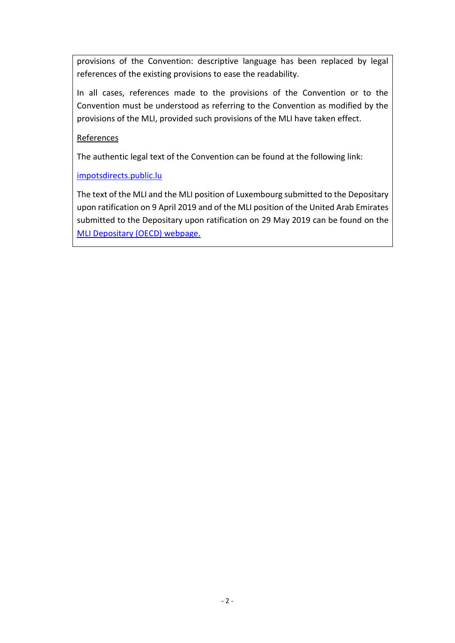provisions of the Convention: descriptive language has been replaced by legal references of the existing provisions to ease the readability.

In all cases, references made to the provisions of the Convention or to the Convention must be understood as referring to the Convention as modified by the provisions of the MLI, provided such provisions of the MLI have taken effect.

### **References**

The authentic legal text of the Convention can be found at the following link:

[impotsdirects.public.lu](https://impotsdirects.public.lu/fr.html)

The text of the MLI and the MLI position of Luxembourg submitted to the Depositary upon ratification on 9 April 2019 and of the MLI position of the United Arab Emirates submitted to the Depositary upon ratification on 29 May 2019 can be found on the [MLI Depositary \(OECD\) webpage.](https://www.oecd.org/tax/treaties/multilateral-convention-to-implement-tax-treaty-related-measures-to-prevent-beps.htm)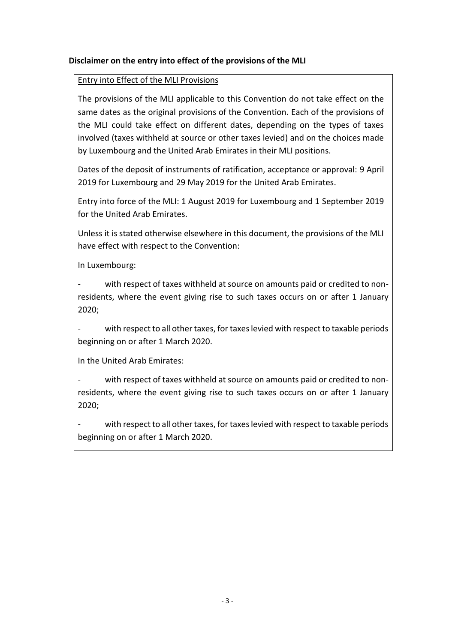### **Disclaimer on the entry into effect of the provisions of the MLI**

### Entry into Effect of the MLI Provisions

The provisions of the MLI applicable to this Convention do not take effect on the same dates as the original provisions of the Convention. Each of the provisions of the MLI could take effect on different dates, depending on the types of taxes involved (taxes withheld at source or other taxes levied) and on the choices made by Luxembourg and the United Arab Emirates in their MLI positions.

Dates of the deposit of instruments of ratification, acceptance or approval: 9 April 2019 for Luxembourg and 29 May 2019 for the United Arab Emirates.

Entry into force of the MLI: 1 August 2019 for Luxembourg and 1 September 2019 for the United Arab Emirates.

Unless it is stated otherwise elsewhere in this document, the provisions of the MLI have effect with respect to the Convention:

In Luxembourg:

with respect of taxes withheld at source on amounts paid or credited to nonresidents, where the event giving rise to such taxes occurs on or after 1 January 2020;

with respect to all other taxes, for taxes levied with respect to taxable periods beginning on or after 1 March 2020.

In the United Arab Emirates:

with respect of taxes withheld at source on amounts paid or credited to nonresidents, where the event giving rise to such taxes occurs on or after 1 January 2020;

with respect to all other taxes, for taxes levied with respect to taxable periods beginning on or after 1 March 2020.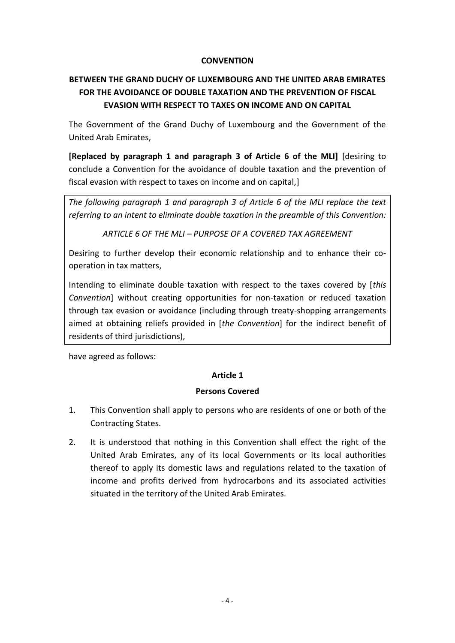#### **CONVENTION**

# **BETWEEN THE GRAND DUCHY OF LUXEMBOURG AND THE UNITED ARAB EMIRATES FOR THE AVOIDANCE OF DOUBLE TAXATION AND THE PREVENTION OF FISCAL EVASION WITH RESPECT TO TAXES ON INCOME AND ON CAPITAL**

The Government of the Grand Duchy of Luxembourg and the Government of the United Arab Emirates,

**[Replaced by paragraph 1 and paragraph 3 of Article 6 of the MLI]** [desiring to conclude a Convention for the avoidance of double taxation and the prevention of fiscal evasion with respect to taxes on income and on capital,]

*The following paragraph 1 and paragraph 3 of Article 6 of the MLI replace the text referring to an intent to eliminate double taxation in the preamble of this Convention:*

*ARTICLE 6 OF THE MLI – PURPOSE OF A COVERED TAX AGREEMENT*

Desiring to further develop their economic relationship and to enhance their cooperation in tax matters,

Intending to eliminate double taxation with respect to the taxes covered by [*this Convention*] without creating opportunities for non-taxation or reduced taxation through tax evasion or avoidance (including through treaty-shopping arrangements aimed at obtaining reliefs provided in [*the Convention*] for the indirect benefit of residents of third jurisdictions),

have agreed as follows:

### **Article 1**

### **Persons Covered**

- 1. This Convention shall apply to persons who are residents of one or both of the Contracting States.
- 2. It is understood that nothing in this Convention shall effect the right of the United Arab Emirates, any of its local Governments or its local authorities thereof to apply its domestic laws and regulations related to the taxation of income and profits derived from hydrocarbons and its associated activities situated in the territory of the United Arab Emirates.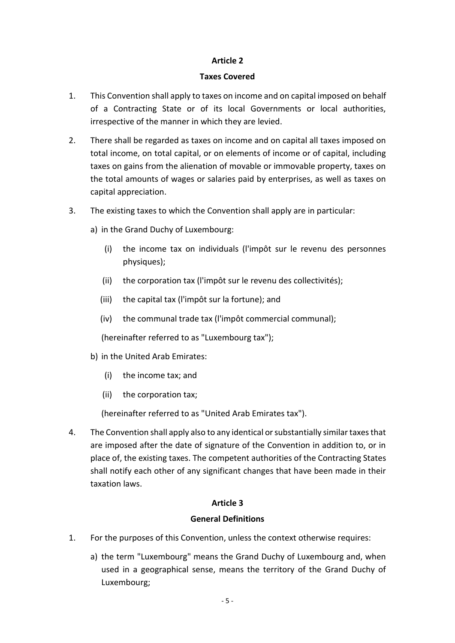#### **Taxes Covered**

- 1. This Convention shall apply to taxes on income and on capital imposed on behalf of a Contracting State or of its local Governments or local authorities, irrespective of the manner in which they are levied.
- 2. There shall be regarded as taxes on income and on capital all taxes imposed on total income, on total capital, or on elements of income or of capital, including taxes on gains from the alienation of movable or immovable property, taxes on the total amounts of wages or salaries paid by enterprises, as well as taxes on capital appreciation.
- 3. The existing taxes to which the Convention shall apply are in particular:
	- a) in the Grand Duchy of Luxembourg:
		- (i) the income tax on individuals (l'impôt sur le revenu des personnes physiques);
		- (ii) the corporation tax (l'impôt sur le revenu des collectivités);
		- (iii) the capital tax (l'impôt sur la fortune); and
		- (iv) the communal trade tax (l'impôt commercial communal);

(hereinafter referred to as "Luxembourg tax");

- b) in the United Arab Emirates:
	- (i) the income tax; and
	- (ii) the corporation tax;

(hereinafter referred to as "United Arab Emirates tax").

4. The Convention shall apply also to any identical or substantially similar taxes that are imposed after the date of signature of the Convention in addition to, or in place of, the existing taxes. The competent authorities of the Contracting States shall notify each other of any significant changes that have been made in their taxation laws.

#### **Article 3**

#### **General Definitions**

- 1. For the purposes of this Convention, unless the context otherwise requires:
	- a) the term "Luxembourg" means the Grand Duchy of Luxembourg and, when used in a geographical sense, means the territory of the Grand Duchy of Luxembourg;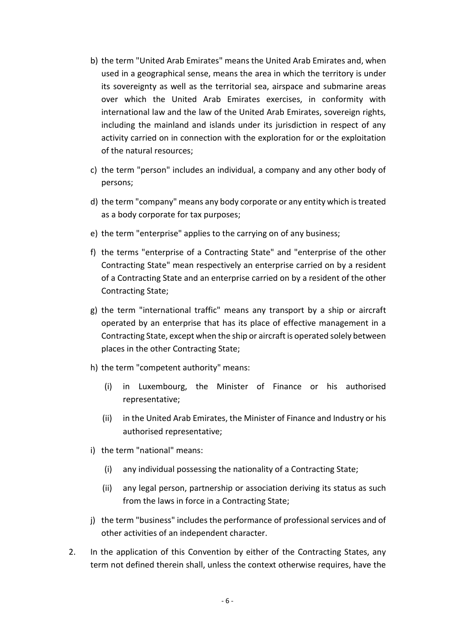- b) the term "United Arab Emirates" means the United Arab Emirates and, when used in a geographical sense, means the area in which the territory is under its sovereignty as well as the territorial sea, airspace and submarine areas over which the United Arab Emirates exercises, in conformity with international law and the law of the United Arab Emirates, sovereign rights, including the mainland and islands under its jurisdiction in respect of any activity carried on in connection with the exploration for or the exploitation of the natural resources;
- c) the term "person" includes an individual, a company and any other body of persons;
- d) the term "company" means any body corporate or any entity which is treated as a body corporate for tax purposes;
- e) the term "enterprise" applies to the carrying on of any business;
- f) the terms "enterprise of a Contracting State" and "enterprise of the other Contracting State" mean respectively an enterprise carried on by a resident of a Contracting State and an enterprise carried on by a resident of the other Contracting State;
- g) the term "international traffic" means any transport by a ship or aircraft operated by an enterprise that has its place of effective management in a Contracting State, except when the ship or aircraft is operated solely between places in the other Contracting State;
- h) the term "competent authority" means:
	- (i) in Luxembourg, the Minister of Finance or his authorised representative;
	- (ii) in the United Arab Emirates, the Minister of Finance and Industry or his authorised representative;
- i) the term "national" means:
	- (i) any individual possessing the nationality of a Contracting State;
	- (ii) any legal person, partnership or association deriving its status as such from the laws in force in a Contracting State;
- j) the term "business" includes the performance of professional services and of other activities of an independent character.
- 2. In the application of this Convention by either of the Contracting States, any term not defined therein shall, unless the context otherwise requires, have the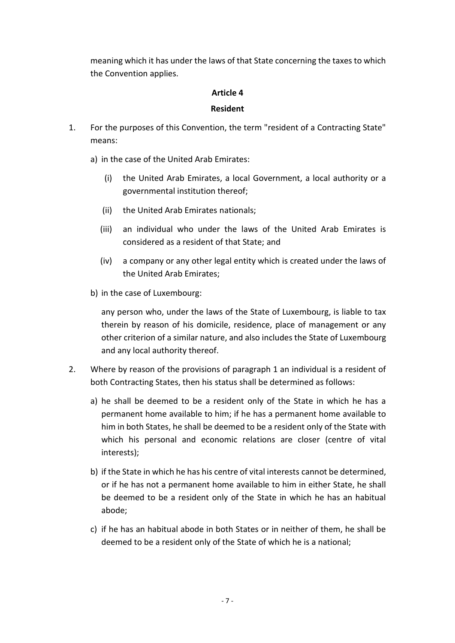meaning which it has under the laws of that State concerning the taxes to which the Convention applies.

#### **Article 4**

#### **Resident**

- 1. For the purposes of this Convention, the term "resident of a Contracting State" means:
	- a) in the case of the United Arab Emirates:
		- (i) the United Arab Emirates, a local Government, a local authority or a governmental institution thereof;
		- (ii) the United Arab Emirates nationals;
		- (iii) an individual who under the laws of the United Arab Emirates is considered as a resident of that State; and
		- (iv) a company or any other legal entity which is created under the laws of the United Arab Emirates;
	- b) in the case of Luxembourg:

any person who, under the laws of the State of Luxembourg, is liable to tax therein by reason of his domicile, residence, place of management or any other criterion of a similar nature, and also includes the State of Luxembourg and any local authority thereof.

- 2. Where by reason of the provisions of paragraph 1 an individual is a resident of both Contracting States, then his status shall be determined as follows:
	- a) he shall be deemed to be a resident only of the State in which he has a permanent home available to him; if he has a permanent home available to him in both States, he shall be deemed to be a resident only of the State with which his personal and economic relations are closer (centre of vital interests);
	- b) if the State in which he has his centre of vital interests cannot be determined, or if he has not a permanent home available to him in either State, he shall be deemed to be a resident only of the State in which he has an habitual abode;
	- c) if he has an habitual abode in both States or in neither of them, he shall be deemed to be a resident only of the State of which he is a national;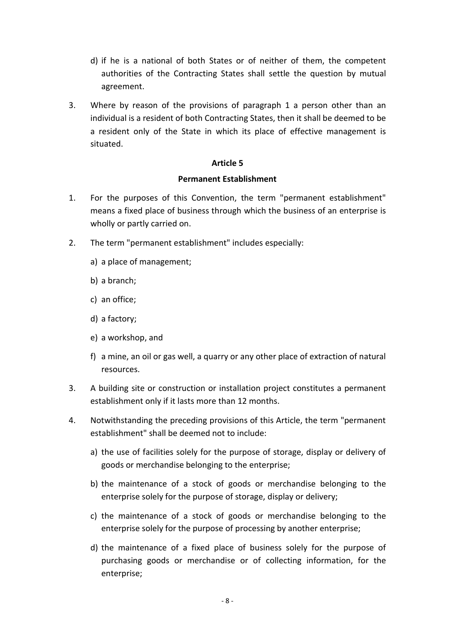- d) if he is a national of both States or of neither of them, the competent authorities of the Contracting States shall settle the question by mutual agreement.
- 3. Where by reason of the provisions of paragraph 1 a person other than an individual is a resident of both Contracting States, then it shall be deemed to be a resident only of the State in which its place of effective management is situated.

#### **Permanent Establishment**

- 1. For the purposes of this Convention, the term "permanent establishment" means a fixed place of business through which the business of an enterprise is wholly or partly carried on.
- 2. The term "permanent establishment" includes especially:
	- a) a place of management;
	- b) a branch;
	- c) an office;
	- d) a factory;
	- e) a workshop, and
	- f) a mine, an oil or gas well, a quarry or any other place of extraction of natural resources.
- 3. A building site or construction or installation project constitutes a permanent establishment only if it lasts more than 12 months.
- 4. Notwithstanding the preceding provisions of this Article, the term "permanent establishment" shall be deemed not to include:
	- a) the use of facilities solely for the purpose of storage, display or delivery of goods or merchandise belonging to the enterprise;
	- b) the maintenance of a stock of goods or merchandise belonging to the enterprise solely for the purpose of storage, display or delivery;
	- c) the maintenance of a stock of goods or merchandise belonging to the enterprise solely for the purpose of processing by another enterprise;
	- d) the maintenance of a fixed place of business solely for the purpose of purchasing goods or merchandise or of collecting information, for the enterprise;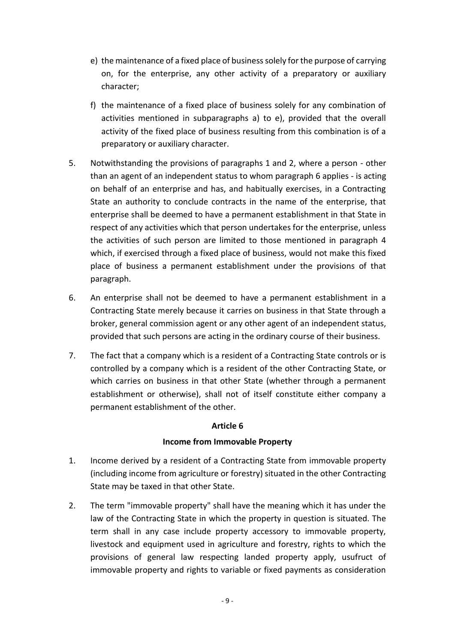- e) the maintenance of a fixed place of business solely for the purpose of carrying on, for the enterprise, any other activity of a preparatory or auxiliary character;
- f) the maintenance of a fixed place of business solely for any combination of activities mentioned in subparagraphs a) to e), provided that the overall activity of the fixed place of business resulting from this combination is of a preparatory or auxiliary character.
- 5. Notwithstanding the provisions of paragraphs 1 and 2, where a person other than an agent of an independent status to whom paragraph 6 applies - is acting on behalf of an enterprise and has, and habitually exercises, in a Contracting State an authority to conclude contracts in the name of the enterprise, that enterprise shall be deemed to have a permanent establishment in that State in respect of any activities which that person undertakes for the enterprise, unless the activities of such person are limited to those mentioned in paragraph 4 which, if exercised through a fixed place of business, would not make this fixed place of business a permanent establishment under the provisions of that paragraph.
- 6. An enterprise shall not be deemed to have a permanent establishment in a Contracting State merely because it carries on business in that State through a broker, general commission agent or any other agent of an independent status, provided that such persons are acting in the ordinary course of their business.
- 7. The fact that a company which is a resident of a Contracting State controls or is controlled by a company which is a resident of the other Contracting State, or which carries on business in that other State (whether through a permanent establishment or otherwise), shall not of itself constitute either company a permanent establishment of the other.

### **Income from Immovable Property**

- 1. Income derived by a resident of a Contracting State from immovable property (including income from agriculture or forestry) situated in the other Contracting State may be taxed in that other State.
- 2. The term "immovable property" shall have the meaning which it has under the law of the Contracting State in which the property in question is situated. The term shall in any case include property accessory to immovable property, livestock and equipment used in agriculture and forestry, rights to which the provisions of general law respecting landed property apply, usufruct of immovable property and rights to variable or fixed payments as consideration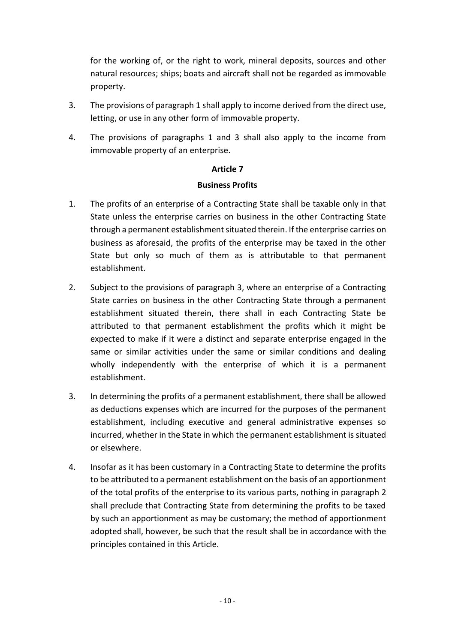for the working of, or the right to work, mineral deposits, sources and other natural resources; ships; boats and aircraft shall not be regarded as immovable property.

- 3. The provisions of paragraph 1 shall apply to income derived from the direct use, letting, or use in any other form of immovable property.
- 4. The provisions of paragraphs 1 and 3 shall also apply to the income from immovable property of an enterprise.

#### **Article 7**

#### **Business Profits**

- 1. The profits of an enterprise of a Contracting State shall be taxable only in that State unless the enterprise carries on business in the other Contracting State through a permanent establishment situated therein. If the enterprise carries on business as aforesaid, the profits of the enterprise may be taxed in the other State but only so much of them as is attributable to that permanent establishment.
- 2. Subject to the provisions of paragraph 3, where an enterprise of a Contracting State carries on business in the other Contracting State through a permanent establishment situated therein, there shall in each Contracting State be attributed to that permanent establishment the profits which it might be expected to make if it were a distinct and separate enterprise engaged in the same or similar activities under the same or similar conditions and dealing wholly independently with the enterprise of which it is a permanent establishment.
- 3. In determining the profits of a permanent establishment, there shall be allowed as deductions expenses which are incurred for the purposes of the permanent establishment, including executive and general administrative expenses so incurred, whether in the State in which the permanent establishment is situated or elsewhere.
- 4. Insofar as it has been customary in a Contracting State to determine the profits to be attributed to a permanent establishment on the basis of an apportionment of the total profits of the enterprise to its various parts, nothing in paragraph 2 shall preclude that Contracting State from determining the profits to be taxed by such an apportionment as may be customary; the method of apportionment adopted shall, however, be such that the result shall be in accordance with the principles contained in this Article.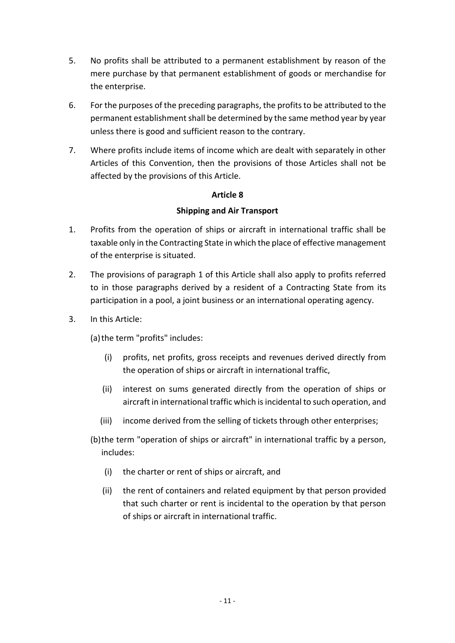- 5. No profits shall be attributed to a permanent establishment by reason of the mere purchase by that permanent establishment of goods or merchandise for the enterprise.
- 6. For the purposes of the preceding paragraphs, the profits to be attributed to the permanent establishment shall be determined by the same method year by year unless there is good and sufficient reason to the contrary.
- 7. Where profits include items of income which are dealt with separately in other Articles of this Convention, then the provisions of those Articles shall not be affected by the provisions of this Article.

### **Shipping and Air Transport**

- 1. Profits from the operation of ships or aircraft in international traffic shall be taxable only in the Contracting State in which the place of effective management of the enterprise is situated.
- 2. The provisions of paragraph 1 of this Article shall also apply to profits referred to in those paragraphs derived by a resident of a Contracting State from its participation in a pool, a joint business or an international operating agency.
- 3. In this Article:

(a)the term "profits" includes:

- (i) profits, net profits, gross receipts and revenues derived directly from the operation of ships or aircraft in international traffic,
- (ii) interest on sums generated directly from the operation of ships or aircraft in international traffic which is incidental to such operation, and
- (iii) income derived from the selling of tickets through other enterprises;
- (b)the term "operation of ships or aircraft" in international traffic by a person, includes:
	- (i) the charter or rent of ships or aircraft, and
	- (ii) the rent of containers and related equipment by that person provided that such charter or rent is incidental to the operation by that person of ships or aircraft in international traffic.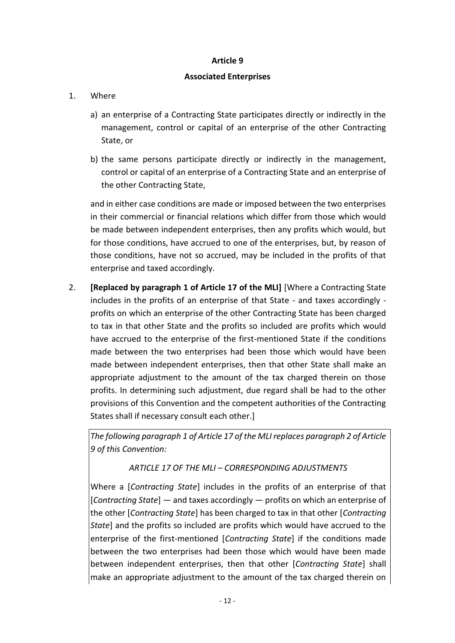### **Associated Enterprises**

- 1. Where
	- a) an enterprise of a Contracting State participates directly or indirectly in the management, control or capital of an enterprise of the other Contracting State, or
	- b) the same persons participate directly or indirectly in the management, control or capital of an enterprise of a Contracting State and an enterprise of the other Contracting State,

and in either case conditions are made or imposed between the two enterprises in their commercial or financial relations which differ from those which would be made between independent enterprises, then any profits which would, but for those conditions, have accrued to one of the enterprises, but, by reason of those conditions, have not so accrued, may be included in the profits of that enterprise and taxed accordingly.

2. **[Replaced by paragraph 1 of Article 17 of the MLI]** [Where a Contracting State includes in the profits of an enterprise of that State - and taxes accordingly profits on which an enterprise of the other Contracting State has been charged to tax in that other State and the profits so included are profits which would have accrued to the enterprise of the first-mentioned State if the conditions made between the two enterprises had been those which would have been made between independent enterprises, then that other State shall make an appropriate adjustment to the amount of the tax charged therein on those profits. In determining such adjustment, due regard shall be had to the other provisions of this Convention and the competent authorities of the Contracting States shall if necessary consult each other.]

*The following paragraph 1 of Article 17 of the MLI replaces paragraph 2 of Article 9 of this Convention:* 

# *ARTICLE 17 OF THE MLI – CORRESPONDING ADJUSTMENTS*

Where a [*Contracting State*] includes in the profits of an enterprise of that [*Contracting State*] — and taxes accordingly — profits on which an enterprise of the other [*Contracting State*] has been charged to tax in that other [*Contracting State*] and the profits so included are profits which would have accrued to the enterprise of the first-mentioned [*Contracting State*] if the conditions made between the two enterprises had been those which would have been made between independent enterprises, then that other [*Contracting State*] shall make an appropriate adjustment to the amount of the tax charged therein on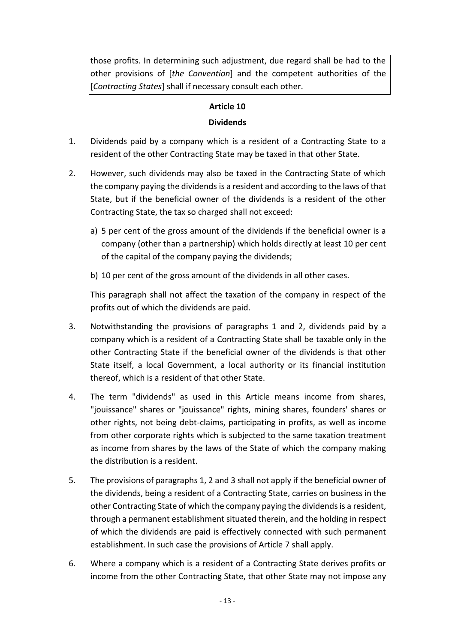those profits. In determining such adjustment, due regard shall be had to the other provisions of [*the Convention*] and the competent authorities of the [*Contracting States*] shall if necessary consult each other.

# **Article 10**

### **Dividends**

- 1. Dividends paid by a company which is a resident of a Contracting State to a resident of the other Contracting State may be taxed in that other State.
- 2. However, such dividends may also be taxed in the Contracting State of which the company paying the dividends is a resident and according to the laws of that State, but if the beneficial owner of the dividends is a resident of the other Contracting State, the tax so charged shall not exceed:
	- a) 5 per cent of the gross amount of the dividends if the beneficial owner is a company (other than a partnership) which holds directly at least 10 per cent of the capital of the company paying the dividends;
	- b) 10 per cent of the gross amount of the dividends in all other cases.

This paragraph shall not affect the taxation of the company in respect of the profits out of which the dividends are paid.

- 3. Notwithstanding the provisions of paragraphs 1 and 2, dividends paid by a company which is a resident of a Contracting State shall be taxable only in the other Contracting State if the beneficial owner of the dividends is that other State itself, a local Government, a local authority or its financial institution thereof, which is a resident of that other State.
- 4. The term "dividends" as used in this Article means income from shares, "jouissance" shares or "jouissance" rights, mining shares, founders' shares or other rights, not being debt-claims, participating in profits, as well as income from other corporate rights which is subjected to the same taxation treatment as income from shares by the laws of the State of which the company making the distribution is a resident.
- 5. The provisions of paragraphs 1, 2 and 3 shall not apply if the beneficial owner of the dividends, being a resident of a Contracting State, carries on business in the other Contracting State of which the company paying the dividends is a resident, through a permanent establishment situated therein, and the holding in respect of which the dividends are paid is effectively connected with such permanent establishment. In such case the provisions of Article 7 shall apply.
- 6. Where a company which is a resident of a Contracting State derives profits or income from the other Contracting State, that other State may not impose any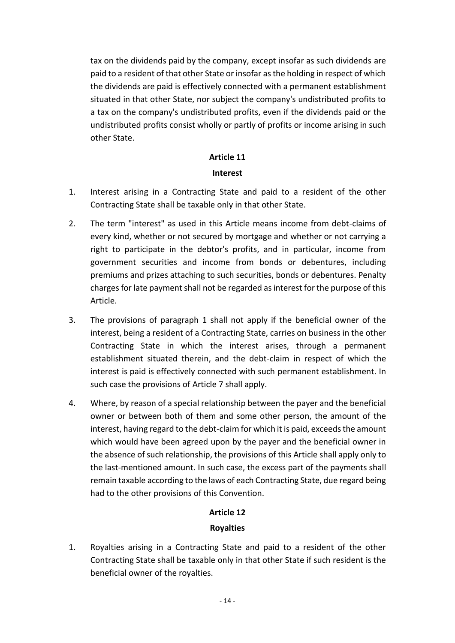tax on the dividends paid by the company, except insofar as such dividends are paid to a resident of that other State or insofar as the holding in respect of which the dividends are paid is effectively connected with a permanent establishment situated in that other State, nor subject the company's undistributed profits to a tax on the company's undistributed profits, even if the dividends paid or the undistributed profits consist wholly or partly of profits or income arising in such other State.

#### **Article 11**

#### **Interest**

- 1. Interest arising in a Contracting State and paid to a resident of the other Contracting State shall be taxable only in that other State.
- 2. The term "interest" as used in this Article means income from debt-claims of every kind, whether or not secured by mortgage and whether or not carrying a right to participate in the debtor's profits, and in particular, income from government securities and income from bonds or debentures, including premiums and prizes attaching to such securities, bonds or debentures. Penalty charges for late payment shall not be regarded as interest for the purpose of this Article.
- 3. The provisions of paragraph 1 shall not apply if the beneficial owner of the interest, being a resident of a Contracting State, carries on business in the other Contracting State in which the interest arises, through a permanent establishment situated therein, and the debt-claim in respect of which the interest is paid is effectively connected with such permanent establishment. In such case the provisions of Article 7 shall apply.
- 4. Where, by reason of a special relationship between the payer and the beneficial owner or between both of them and some other person, the amount of the interest, having regard to the debt-claim for which it is paid, exceeds the amount which would have been agreed upon by the payer and the beneficial owner in the absence of such relationship, the provisions of this Article shall apply only to the last-mentioned amount. In such case, the excess part of the payments shall remain taxable according to the laws of each Contracting State, due regard being had to the other provisions of this Convention.

### **Article 12**

### **Royalties**

1. Royalties arising in a Contracting State and paid to a resident of the other Contracting State shall be taxable only in that other State if such resident is the beneficial owner of the royalties.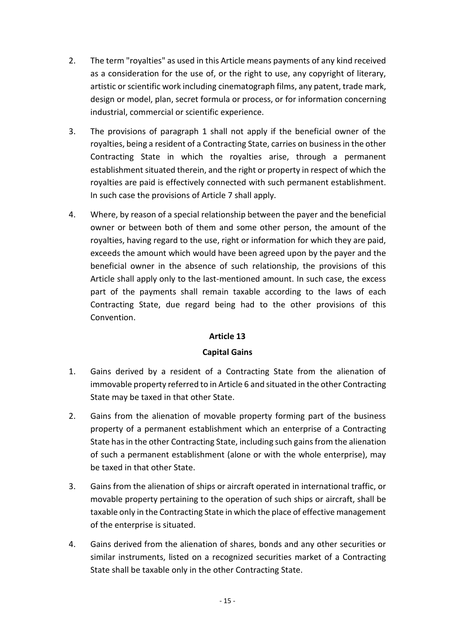- 2. The term "royalties" as used in this Article means payments of any kind received as a consideration for the use of, or the right to use, any copyright of literary, artistic or scientific work including cinematograph films, any patent, trade mark, design or model, plan, secret formula or process, or for information concerning industrial, commercial or scientific experience.
- 3. The provisions of paragraph 1 shall not apply if the beneficial owner of the royalties, being a resident of a Contracting State, carries on business in the other Contracting State in which the royalties arise, through a permanent establishment situated therein, and the right or property in respect of which the royalties are paid is effectively connected with such permanent establishment. In such case the provisions of Article 7 shall apply.
- 4. Where, by reason of a special relationship between the payer and the beneficial owner or between both of them and some other person, the amount of the royalties, having regard to the use, right or information for which they are paid, exceeds the amount which would have been agreed upon by the payer and the beneficial owner in the absence of such relationship, the provisions of this Article shall apply only to the last-mentioned amount. In such case, the excess part of the payments shall remain taxable according to the laws of each Contracting State, due regard being had to the other provisions of this Convention.

### **Capital Gains**

- 1. Gains derived by a resident of a Contracting State from the alienation of immovable property referred to in Article 6 and situated in the other Contracting State may be taxed in that other State.
- 2. Gains from the alienation of movable property forming part of the business property of a permanent establishment which an enterprise of a Contracting State has in the other Contracting State, including such gains from the alienation of such a permanent establishment (alone or with the whole enterprise), may be taxed in that other State.
- 3. Gains from the alienation of ships or aircraft operated in international traffic, or movable property pertaining to the operation of such ships or aircraft, shall be taxable only in the Contracting State in which the place of effective management of the enterprise is situated.
- 4. Gains derived from the alienation of shares, bonds and any other securities or similar instruments, listed on a recognized securities market of a Contracting State shall be taxable only in the other Contracting State.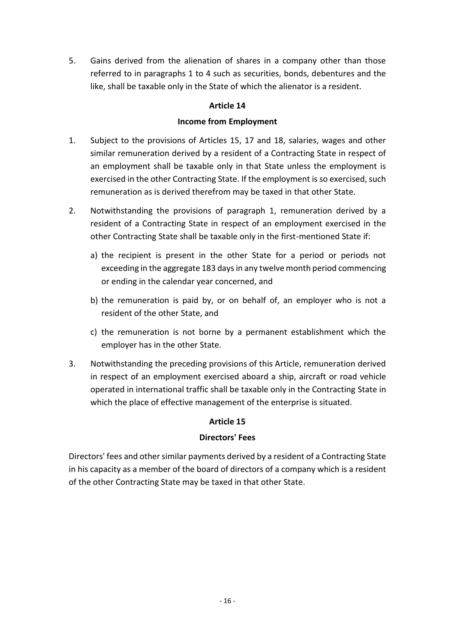5. Gains derived from the alienation of shares in a company other than those referred to in paragraphs 1 to 4 such as securities, bonds, debentures and the like, shall be taxable only in the State of which the alienator is a resident.

### **Article 14**

### **Income from Employment**

- 1. Subject to the provisions of Articles 15, 17 and 18, salaries, wages and other similar remuneration derived by a resident of a Contracting State in respect of an employment shall be taxable only in that State unless the employment is exercised in the other Contracting State. If the employment is so exercised, such remuneration as is derived therefrom may be taxed in that other State.
- 2. Notwithstanding the provisions of paragraph 1, remuneration derived by a resident of a Contracting State in respect of an employment exercised in the other Contracting State shall be taxable only in the first-mentioned State if:
	- a) the recipient is present in the other State for a period or periods not exceeding in the aggregate 183 days in any twelve month period commencing or ending in the calendar year concerned, and
	- b) the remuneration is paid by, or on behalf of, an employer who is not a resident of the other State, and
	- c) the remuneration is not borne by a permanent establishment which the employer has in the other State.
- 3. Notwithstanding the preceding provisions of this Article, remuneration derived in respect of an employment exercised aboard a ship, aircraft or road vehicle operated in international traffic shall be taxable only in the Contracting State in which the place of effective management of the enterprise is situated.

### **Article 15**

### **Directors' Fees**

Directors' fees and other similar payments derived by a resident of a Contracting State in his capacity as a member of the board of directors of a company which is a resident of the other Contracting State may be taxed in that other State.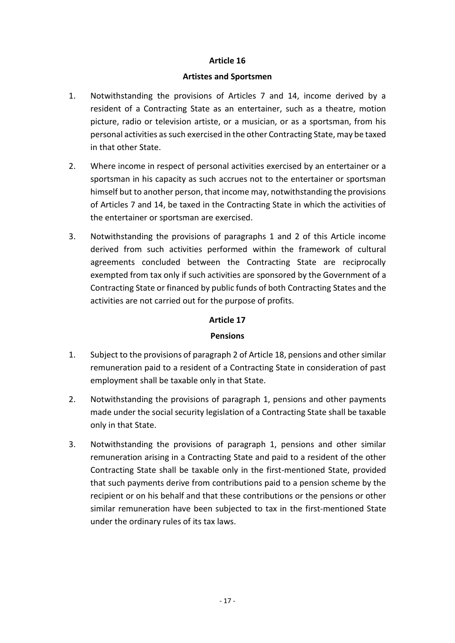#### **Artistes and Sportsmen**

- 1. Notwithstanding the provisions of Articles 7 and 14, income derived by a resident of a Contracting State as an entertainer, such as a theatre, motion picture, radio or television artiste, or a musician, or as a sportsman, from his personal activities as such exercised in the other Contracting State, may be taxed in that other State.
- 2. Where income in respect of personal activities exercised by an entertainer or a sportsman in his capacity as such accrues not to the entertainer or sportsman himself but to another person, that income may, notwithstanding the provisions of Articles 7 and 14, be taxed in the Contracting State in which the activities of the entertainer or sportsman are exercised.
- 3. Notwithstanding the provisions of paragraphs 1 and 2 of this Article income derived from such activities performed within the framework of cultural agreements concluded between the Contracting State are reciprocally exempted from tax only if such activities are sponsored by the Government of a Contracting State or financed by public funds of both Contracting States and the activities are not carried out for the purpose of profits.

#### **Article 17**

### **Pensions**

- 1. Subject to the provisions of paragraph 2 of Article 18, pensions and other similar remuneration paid to a resident of a Contracting State in consideration of past employment shall be taxable only in that State.
- 2. Notwithstanding the provisions of paragraph 1, pensions and other payments made under the social security legislation of a Contracting State shall be taxable only in that State.
- 3. Notwithstanding the provisions of paragraph 1, pensions and other similar remuneration arising in a Contracting State and paid to a resident of the other Contracting State shall be taxable only in the first-mentioned State, provided that such payments derive from contributions paid to a pension scheme by the recipient or on his behalf and that these contributions or the pensions or other similar remuneration have been subjected to tax in the first-mentioned State under the ordinary rules of its tax laws.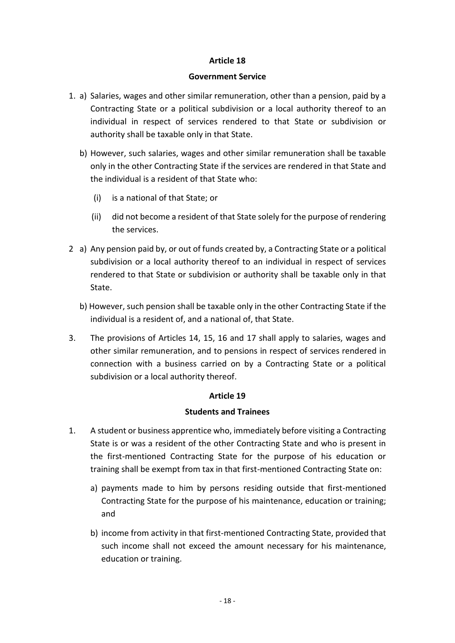#### **Government Service**

- 1. a) Salaries, wages and other similar remuneration, other than a pension, paid by a Contracting State or a political subdivision or a local authority thereof to an individual in respect of services rendered to that State or subdivision or authority shall be taxable only in that State.
	- b) However, such salaries, wages and other similar remuneration shall be taxable only in the other Contracting State if the services are rendered in that State and the individual is a resident of that State who:
		- (i) is a national of that State; or
		- (ii) did not become a resident of that State solely for the purpose of rendering the services.
- 2 a) Any pension paid by, or out of funds created by, a Contracting State or a political subdivision or a local authority thereof to an individual in respect of services rendered to that State or subdivision or authority shall be taxable only in that State.
	- b) However, such pension shall be taxable only in the other Contracting State if the individual is a resident of, and a national of, that State.
- 3. The provisions of Articles 14, 15, 16 and 17 shall apply to salaries, wages and other similar remuneration, and to pensions in respect of services rendered in connection with a business carried on by a Contracting State or a political subdivision or a local authority thereof.

### **Article 19**

### **Students and Trainees**

- 1. A student or business apprentice who, immediately before visiting a Contracting State is or was a resident of the other Contracting State and who is present in the first-mentioned Contracting State for the purpose of his education or training shall be exempt from tax in that first-mentioned Contracting State on:
	- a) payments made to him by persons residing outside that first-mentioned Contracting State for the purpose of his maintenance, education or training; and
	- b) income from activity in that first-mentioned Contracting State, provided that such income shall not exceed the amount necessary for his maintenance, education or training.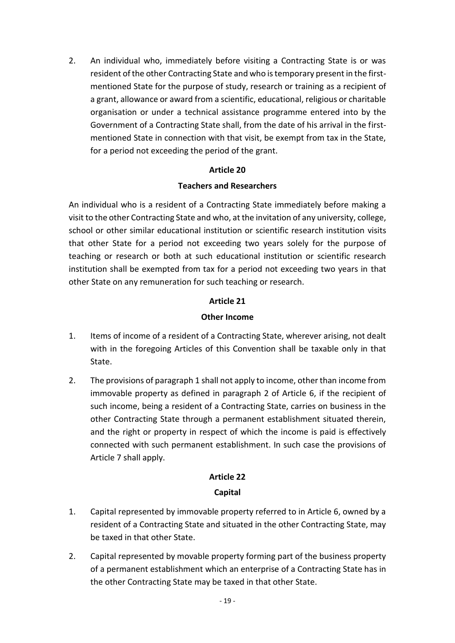2. An individual who, immediately before visiting a Contracting State is or was resident of the other Contracting State and who is temporary present in the firstmentioned State for the purpose of study, research or training as a recipient of a grant, allowance or award from a scientific, educational, religious or charitable organisation or under a technical assistance programme entered into by the Government of a Contracting State shall, from the date of his arrival in the firstmentioned State in connection with that visit, be exempt from tax in the State, for a period not exceeding the period of the grant.

### **Article 20**

#### **Teachers and Researchers**

An individual who is a resident of a Contracting State immediately before making a visit to the other Contracting State and who, at the invitation of any university, college, school or other similar educational institution or scientific research institution visits that other State for a period not exceeding two years solely for the purpose of teaching or research or both at such educational institution or scientific research institution shall be exempted from tax for a period not exceeding two years in that other State on any remuneration for such teaching or research.

#### **Article 21**

#### **Other Income**

- 1. Items of income of a resident of a Contracting State, wherever arising, not dealt with in the foregoing Articles of this Convention shall be taxable only in that State.
- 2. The provisions of paragraph 1 shall not apply to income, other than income from immovable property as defined in paragraph 2 of Article 6, if the recipient of such income, being a resident of a Contracting State, carries on business in the other Contracting State through a permanent establishment situated therein, and the right or property in respect of which the income is paid is effectively connected with such permanent establishment. In such case the provisions of Article 7 shall apply.

### **Article 22**

#### **Capital**

- 1. Capital represented by immovable property referred to in Article 6, owned by a resident of a Contracting State and situated in the other Contracting State, may be taxed in that other State.
- 2. Capital represented by movable property forming part of the business property of a permanent establishment which an enterprise of a Contracting State has in the other Contracting State may be taxed in that other State.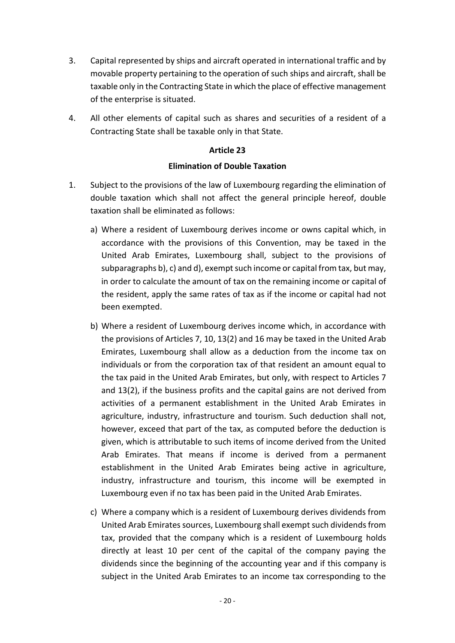- 3. Capital represented by ships and aircraft operated in international traffic and by movable property pertaining to the operation of such ships and aircraft, shall be taxable only in the Contracting State in which the place of effective management of the enterprise is situated.
- 4. All other elements of capital such as shares and securities of a resident of a Contracting State shall be taxable only in that State.

#### **Elimination of Double Taxation**

- 1. Subject to the provisions of the law of Luxembourg regarding the elimination of double taxation which shall not affect the general principle hereof, double taxation shall be eliminated as follows:
	- a) Where a resident of Luxembourg derives income or owns capital which, in accordance with the provisions of this Convention, may be taxed in the United Arab Emirates, Luxembourg shall, subject to the provisions of subparagraphs b), c) and d), exempt such income or capital from tax, but may, in order to calculate the amount of tax on the remaining income or capital of the resident, apply the same rates of tax as if the income or capital had not been exempted.
	- b) Where a resident of Luxembourg derives income which, in accordance with the provisions of Articles 7, 10, 13(2) and 16 may be taxed in the United Arab Emirates, Luxembourg shall allow as a deduction from the income tax on individuals or from the corporation tax of that resident an amount equal to the tax paid in the United Arab Emirates, but only, with respect to Articles 7 and 13(2), if the business profits and the capital gains are not derived from activities of a permanent establishment in the United Arab Emirates in agriculture, industry, infrastructure and tourism. Such deduction shall not, however, exceed that part of the tax, as computed before the deduction is given, which is attributable to such items of income derived from the United Arab Emirates. That means if income is derived from a permanent establishment in the United Arab Emirates being active in agriculture, industry, infrastructure and tourism, this income will be exempted in Luxembourg even if no tax has been paid in the United Arab Emirates.
	- c) Where a company which is a resident of Luxembourg derives dividends from United Arab Emirates sources, Luxembourg shall exempt such dividends from tax, provided that the company which is a resident of Luxembourg holds directly at least 10 per cent of the capital of the company paying the dividends since the beginning of the accounting year and if this company is subject in the United Arab Emirates to an income tax corresponding to the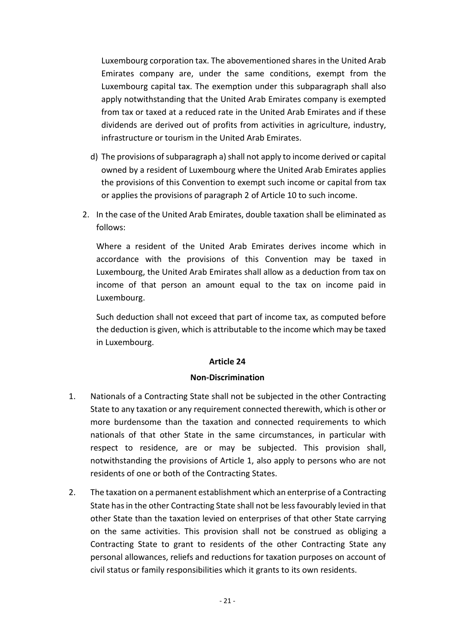Luxembourg corporation tax. The abovementioned shares in the United Arab Emirates company are, under the same conditions, exempt from the Luxembourg capital tax. The exemption under this subparagraph shall also apply notwithstanding that the United Arab Emirates company is exempted from tax or taxed at a reduced rate in the United Arab Emirates and if these dividends are derived out of profits from activities in agriculture, industry, infrastructure or tourism in the United Arab Emirates.

- d) The provisions of subparagraph a) shall not apply to income derived or capital owned by a resident of Luxembourg where the United Arab Emirates applies the provisions of this Convention to exempt such income or capital from tax or applies the provisions of paragraph 2 of Article 10 to such income.
- 2. In the case of the United Arab Emirates, double taxation shall be eliminated as follows:

Where a resident of the United Arab Emirates derives income which in accordance with the provisions of this Convention may be taxed in Luxembourg, the United Arab Emirates shall allow as a deduction from tax on income of that person an amount equal to the tax on income paid in Luxembourg.

Such deduction shall not exceed that part of income tax, as computed before the deduction is given, which is attributable to the income which may be taxed in Luxembourg.

### **Article 24**

### **Non-Discrimination**

- 1. Nationals of a Contracting State shall not be subjected in the other Contracting State to any taxation or any requirement connected therewith, which is other or more burdensome than the taxation and connected requirements to which nationals of that other State in the same circumstances, in particular with respect to residence, are or may be subjected. This provision shall, notwithstanding the provisions of Article 1, also apply to persons who are not residents of one or both of the Contracting States.
- 2. The taxation on a permanent establishment which an enterprise of a Contracting State has in the other Contracting State shall not be less favourably levied in that other State than the taxation levied on enterprises of that other State carrying on the same activities. This provision shall not be construed as obliging a Contracting State to grant to residents of the other Contracting State any personal allowances, reliefs and reductions for taxation purposes on account of civil status or family responsibilities which it grants to its own residents.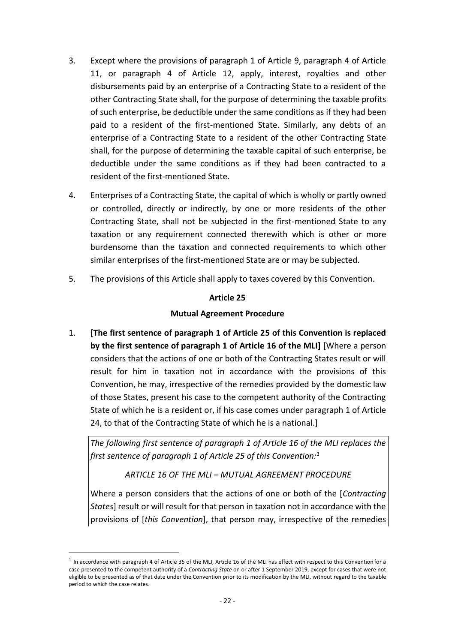- 3. Except where the provisions of paragraph 1 of Article 9, paragraph 4 of Article 11, or paragraph 4 of Article 12, apply, interest, royalties and other disbursements paid by an enterprise of a Contracting State to a resident of the other Contracting State shall, for the purpose of determining the taxable profits of such enterprise, be deductible under the same conditions as if they had been paid to a resident of the first-mentioned State. Similarly, any debts of an enterprise of a Contracting State to a resident of the other Contracting State shall, for the purpose of determining the taxable capital of such enterprise, be deductible under the same conditions as if they had been contracted to a resident of the first-mentioned State.
- 4. Enterprises of a Contracting State, the capital of which is wholly or partly owned or controlled, directly or indirectly, by one or more residents of the other Contracting State, shall not be subjected in the first-mentioned State to any taxation or any requirement connected therewith which is other or more burdensome than the taxation and connected requirements to which other similar enterprises of the first-mentioned State are or may be subjected.
- 5. The provisions of this Article shall apply to taxes covered by this Convention.

#### **Mutual Agreement Procedure**

1. **[The first sentence of paragraph 1 of Article 25 of this Convention is replaced by the first sentence of paragraph 1 of Article 16 of the MLI]** [Where a person considers that the actions of one or both of the Contracting States result or will result for him in taxation not in accordance with the provisions of this Convention, he may, irrespective of the remedies provided by the domestic law of those States, present his case to the competent authority of the Contracting State of which he is a resident or, if his case comes under paragraph 1 of Article 24, to that of the Contracting State of which he is a national.]

*The following first sentence of paragraph 1 of Article 16 of the MLI replaces the first sentence of paragraph 1 of Article 25 of this Convention:<sup>1</sup>*

*ARTICLE 16 OF THE MLI – MUTUAL AGREEMENT PROCEDURE*

Where a person considers that the actions of one or both of the [*Contracting States*] result or will result for that person in taxation not in accordance with the provisions of [*this Convention*], that person may, irrespective of the remedies

1

 $^1$  In accordance with paragraph 4 of Article 35 of the MLI, Article 16 of the MLI has effect with respect to this Convention for a case presented to the competent authority of a *Contracting State* on or after 1 September 2019, except for cases that were not eligible to be presented as of that date under the Convention prior to its modification by the MLI, without regard to the taxable period to which the case relates.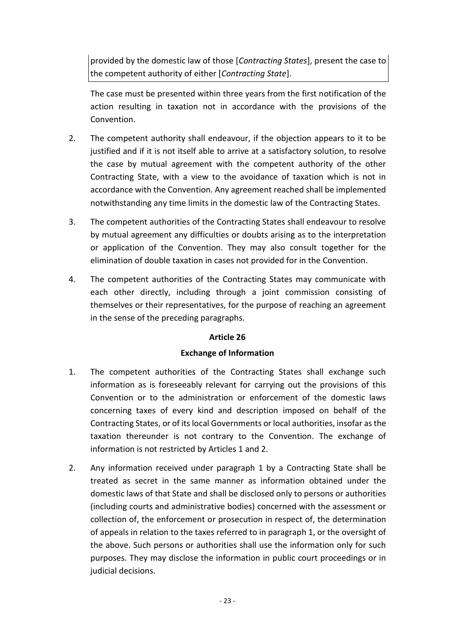provided by the domestic law of those [*Contracting States*], present the case to the competent authority of either [*Contracting State*].

The case must be presented within three years from the first notification of the action resulting in taxation not in accordance with the provisions of the Convention.

- 2. The competent authority shall endeavour, if the objection appears to it to be justified and if it is not itself able to arrive at a satisfactory solution, to resolve the case by mutual agreement with the competent authority of the other Contracting State, with a view to the avoidance of taxation which is not in accordance with the Convention. Any agreement reached shall be implemented notwithstanding any time limits in the domestic law of the Contracting States.
- 3. The competent authorities of the Contracting States shall endeavour to resolve by mutual agreement any difficulties or doubts arising as to the interpretation or application of the Convention. They may also consult together for the elimination of double taxation in cases not provided for in the Convention.
- 4. The competent authorities of the Contracting States may communicate with each other directly, including through a joint commission consisting of themselves or their representatives, for the purpose of reaching an agreement in the sense of the preceding paragraphs.

### **Article 26**

### **Exchange of Information**

- 1. The competent authorities of the Contracting States shall exchange such information as is foreseeably relevant for carrying out the provisions of this Convention or to the administration or enforcement of the domestic laws concerning taxes of every kind and description imposed on behalf of the Contracting States, or of its local Governments or local authorities, insofar as the taxation thereunder is not contrary to the Convention. The exchange of information is not restricted by Articles 1 and 2.
- 2. Any information received under paragraph 1 by a Contracting State shall be treated as secret in the same manner as information obtained under the domestic laws of that State and shall be disclosed only to persons or authorities (including courts and administrative bodies) concerned with the assessment or collection of, the enforcement or prosecution in respect of, the determination of appeals in relation to the taxes referred to in paragraph 1, or the oversight of the above. Such persons or authorities shall use the information only for such purposes. They may disclose the information in public court proceedings or in judicial decisions.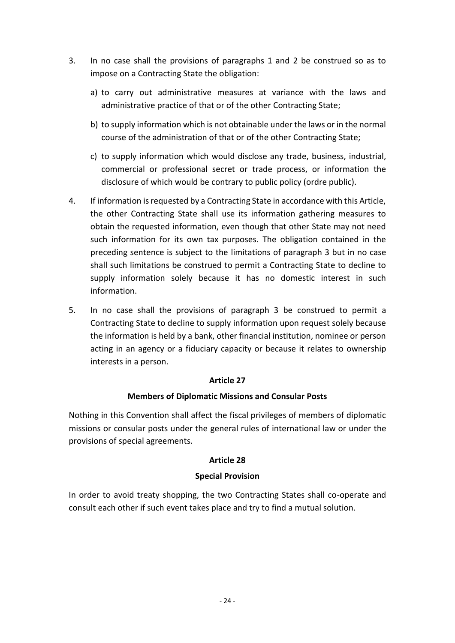- 3. In no case shall the provisions of paragraphs 1 and 2 be construed so as to impose on a Contracting State the obligation:
	- a) to carry out administrative measures at variance with the laws and administrative practice of that or of the other Contracting State;
	- b) to supply information which is not obtainable under the laws or in the normal course of the administration of that or of the other Contracting State;
	- c) to supply information which would disclose any trade, business, industrial, commercial or professional secret or trade process, or information the disclosure of which would be contrary to public policy (ordre public).
- 4. If information is requested by a Contracting State in accordance with this Article, the other Contracting State shall use its information gathering measures to obtain the requested information, even though that other State may not need such information for its own tax purposes. The obligation contained in the preceding sentence is subject to the limitations of paragraph 3 but in no case shall such limitations be construed to permit a Contracting State to decline to supply information solely because it has no domestic interest in such information.
- 5. In no case shall the provisions of paragraph 3 be construed to permit a Contracting State to decline to supply information upon request solely because the information is held by a bank, other financial institution, nominee or person acting in an agency or a fiduciary capacity or because it relates to ownership interests in a person.

#### **Members of Diplomatic Missions and Consular Posts**

Nothing in this Convention shall affect the fiscal privileges of members of diplomatic missions or consular posts under the general rules of international law or under the provisions of special agreements.

### **Article 28**

#### **Special Provision**

In order to avoid treaty shopping, the two Contracting States shall co-operate and consult each other if such event takes place and try to find a mutual solution.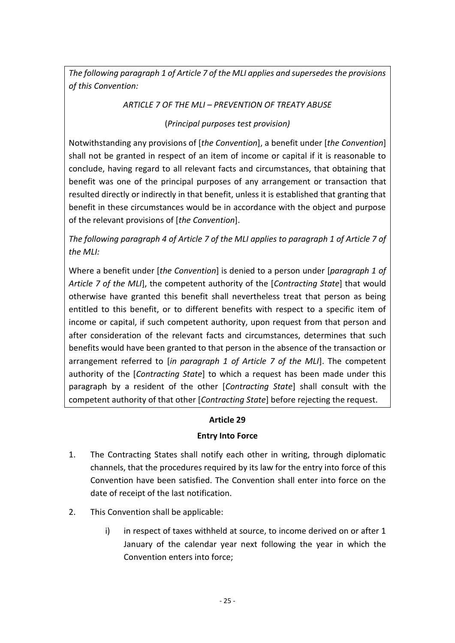*The following paragraph 1 of Article 7 of the MLI applies and supersedes the provisions of this Convention:*

### *ARTICLE 7 OF THE MLI – PREVENTION OF TREATY ABUSE*

### (*Principal purposes test provision)*

Notwithstanding any provisions of [*the Convention*], a benefit under [*the Convention*] shall not be granted in respect of an item of income or capital if it is reasonable to conclude, having regard to all relevant facts and circumstances, that obtaining that benefit was one of the principal purposes of any arrangement or transaction that resulted directly or indirectly in that benefit, unless it is established that granting that benefit in these circumstances would be in accordance with the object and purpose of the relevant provisions of [*the Convention*].

*The following paragraph 4 of Article 7 of the MLI applies to paragraph 1 of Article 7 of the MLI:*

Where a benefit under [*the Convention*] is denied to a person under [*paragraph 1 of Article 7 of the MLI*], the competent authority of the [*Contracting State*] that would otherwise have granted this benefit shall nevertheless treat that person as being entitled to this benefit, or to different benefits with respect to a specific item of income or capital, if such competent authority, upon request from that person and after consideration of the relevant facts and circumstances, determines that such benefits would have been granted to that person in the absence of the transaction or arrangement referred to [*in paragraph 1 of Article 7 of the MLI*]. The competent authority of the [*Contracting State*] to which a request has been made under this paragraph by a resident of the other [*Contracting State*] shall consult with the competent authority of that other [*Contracting State*] before rejecting the request.

# **Article 29**

### **Entry Into Force**

- 1. The Contracting States shall notify each other in writing, through diplomatic channels, that the procedures required by its law for the entry into force of this Convention have been satisfied. The Convention shall enter into force on the date of receipt of the last notification.
- 2. This Convention shall be applicable:
	- i) in respect of taxes withheld at source, to income derived on or after 1 January of the calendar year next following the year in which the Convention enters into force;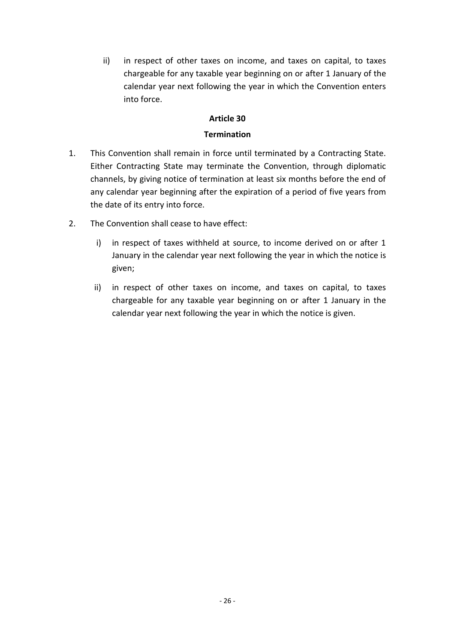ii) in respect of other taxes on income, and taxes on capital, to taxes chargeable for any taxable year beginning on or after 1 January of the calendar year next following the year in which the Convention enters into force.

### **Article 30**

### **Termination**

- 1. This Convention shall remain in force until terminated by a Contracting State. Either Contracting State may terminate the Convention, through diplomatic channels, by giving notice of termination at least six months before the end of any calendar year beginning after the expiration of a period of five years from the date of its entry into force.
- 2. The Convention shall cease to have effect:
	- i) in respect of taxes withheld at source, to income derived on or after 1 January in the calendar year next following the year in which the notice is given;
	- ii) in respect of other taxes on income, and taxes on capital, to taxes chargeable for any taxable year beginning on or after 1 January in the calendar year next following the year in which the notice is given.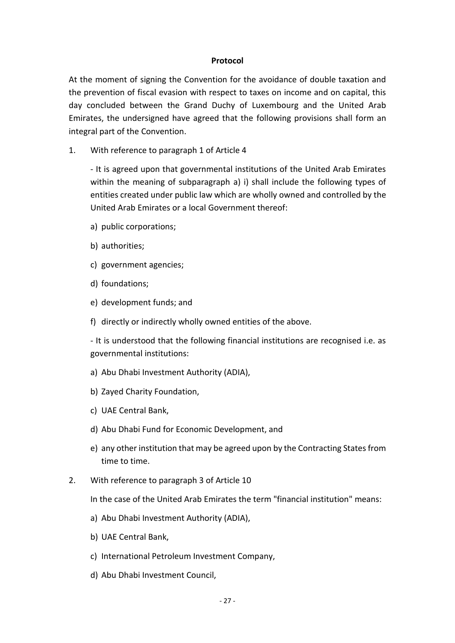#### **Protocol**

At the moment of signing the Convention for the avoidance of double taxation and the prevention of fiscal evasion with respect to taxes on income and on capital, this day concluded between the Grand Duchy of Luxembourg and the United Arab Emirates, the undersigned have agreed that the following provisions shall form an integral part of the Convention.

1. With reference to paragraph 1 of Article 4

- It is agreed upon that governmental institutions of the United Arab Emirates within the meaning of subparagraph a) i) shall include the following types of entities created under public law which are wholly owned and controlled by the United Arab Emirates or a local Government thereof:

- a) public corporations;
- b) authorities;
- c) government agencies;
- d) foundations;
- e) development funds; and
- f) directly or indirectly wholly owned entities of the above.

- It is understood that the following financial institutions are recognised i.e. as governmental institutions:

- a) Abu Dhabi Investment Authority (ADIA),
- b) Zayed Charity Foundation,
- c) UAE Central Bank,
- d) Abu Dhabi Fund for Economic Development, and
- e) any other institution that may be agreed upon by the Contracting States from time to time.
- 2. With reference to paragraph 3 of Article 10
	- In the case of the United Arab Emirates the term "financial institution" means:
	- a) Abu Dhabi Investment Authority (ADIA),
	- b) UAE Central Bank,
	- c) International Petroleum Investment Company,
	- d) Abu Dhabi Investment Council,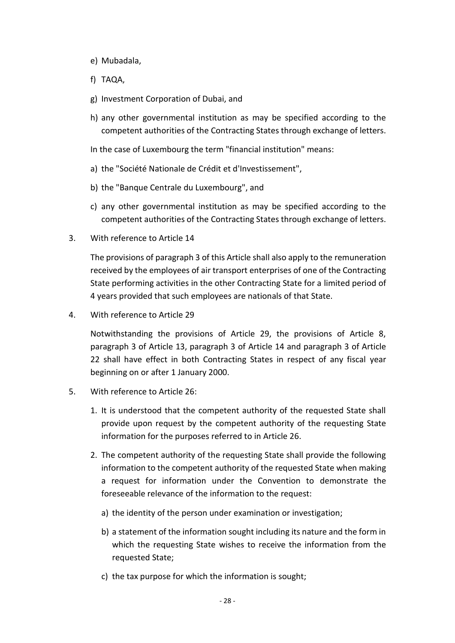- e) Mubadala,
- f) TAQA,
- g) Investment Corporation of Dubai, and
- h) any other governmental institution as may be specified according to the competent authorities of the Contracting States through exchange of letters.
- In the case of Luxembourg the term "financial institution" means:
- a) the "Société Nationale de Crédit et d'Investissement",
- b) the "Banque Centrale du Luxembourg", and
- c) any other governmental institution as may be specified according to the competent authorities of the Contracting States through exchange of letters.
- 3. With reference to Article 14

The provisions of paragraph 3 of this Article shall also apply to the remuneration received by the employees of air transport enterprises of one of the Contracting State performing activities in the other Contracting State for a limited period of 4 years provided that such employees are nationals of that State.

4. With reference to Article 29

Notwithstanding the provisions of Article 29, the provisions of Article 8, paragraph 3 of Article 13, paragraph 3 of Article 14 and paragraph 3 of Article 22 shall have effect in both Contracting States in respect of any fiscal year beginning on or after 1 January 2000.

- 5. With reference to Article 26:
	- 1. It is understood that the competent authority of the requested State shall provide upon request by the competent authority of the requesting State information for the purposes referred to in Article 26.
	- 2. The competent authority of the requesting State shall provide the following information to the competent authority of the requested State when making a request for information under the Convention to demonstrate the foreseeable relevance of the information to the request:
		- a) the identity of the person under examination or investigation;
		- b) a statement of the information sought including its nature and the form in which the requesting State wishes to receive the information from the requested State;
		- c) the tax purpose for which the information is sought;